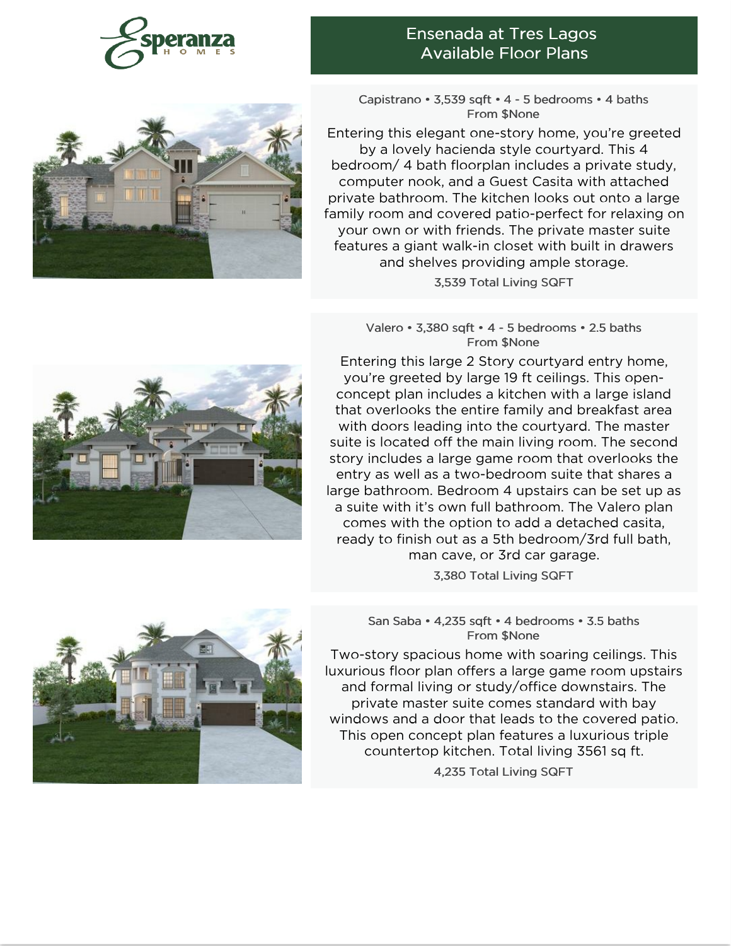

### Ensenada at Tres Lagos Available Floor Plans



Capistrano • 3,539 sqft • 4 - 5 bedrooms • 4 baths From \$None

Entering this elegant one-story home, you're greeted by a lovely hacienda style courtyard. This 4 bedroom/ 4 bath floorplan includes a private study, computer nook, and a Guest Casita with attached private bathroom. The kitchen looks out onto a large family room and covered patio-perfect for relaxing on your own or with friends. The private master suite features a giant walk-in closet with built in drawers and shelves providing ample storage.

3,539 Total Living SQFT

Valero • 3,380 sqft • 4 - 5 bedrooms • 2.5 baths From \$None

Entering this large 2 Story courtyard entry home, you're greeted by large 19 ft ceilings. This openconcept plan includes a kitchen with a large island that overlooks the entire family and breakfast area with doors leading into the courtyard. The master suite is located off the main living room. The second story includes a large game room that overlooks the entry as well as a two-bedroom suite that shares a large bathroom. Bedroom 4 upstairs can be set up as a suite with it's own full bathroom. The Valero plan comes with the option to add a detached casita, ready to finish out as a 5th bedroom/3rd full bath, man cave, or 3rd car garage.

3,380 Total Living SQFT

### San Saba • 4,235 sqft • 4 bedrooms • 3.5 baths From \$None

Two-story spacious home with soaring ceilings. This luxurious floor plan offers a large game room upstairs and formal living or study/office downstairs. The private master suite comes standard with bay windows and a door that leads to the covered patio. This open concept plan features a luxurious triple countertop kitchen. Total living 3561 sq ft.

4,235 Total Living SQFT



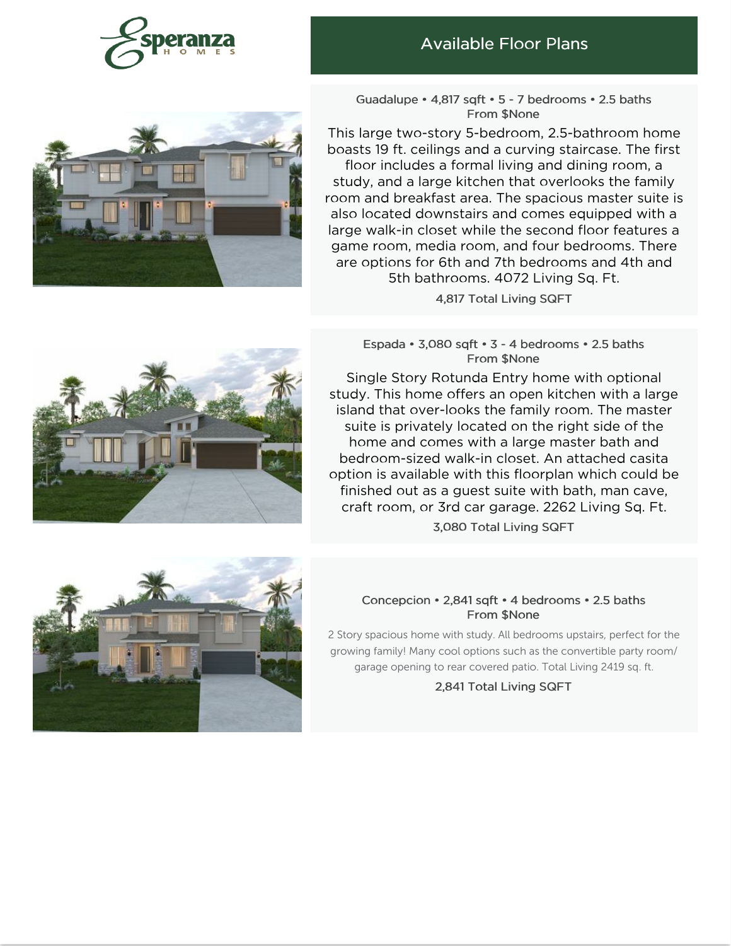

## Available Floor Plans



Guadalupe • 4,817 sqft • 5 - 7 bedrooms • 2.5 baths From \$None

This large two-story 5-bedroom, 2.5-bathroom home boasts 19 ft. ceilings and a curving staircase. The first floor includes a formal living and dining room, a study, and a large kitchen that overlooks the family room and breakfast area. The spacious master suite is also located downstairs and comes equipped with a large walk-in closet while the second floor features a game room, [media](https://www.esperanzahomes.com) room, and four bedrooms. There are options for 6th and 7th bedrooms and 4th and 5th bathrooms. 4072 Living Sq. Ft.

4,817 Total Living SQFT

Espada • 3,080 sqft • 3 - 4 bedrooms • 2.5 baths From \$None

Single Story Rotunda Entry home with optional study. This home offers an open kitchen with a large island that over-looks the family room. The master suite is privately located on the right side of the home and comes with a large master bath and bedroom-sized walk-in closet. An attached casita option is available with this floorplan which could be finished out as a guest suite with bath, man cave, craft room, or 3rd car garage. 2262 Living Sq. Ft.

3,080 Total Living SQFT

### Concepcion • 2,841 sqft • 4 bedrooms • 2.5 baths From \$None

2 Story spacious home with study. All bedrooms upstairs, perfect for the growing family! Many cool options such as the convertible party room/ garage opening to rear covered patio. Total Living 2419 sq. ft.

2,841 Total Living SQFT